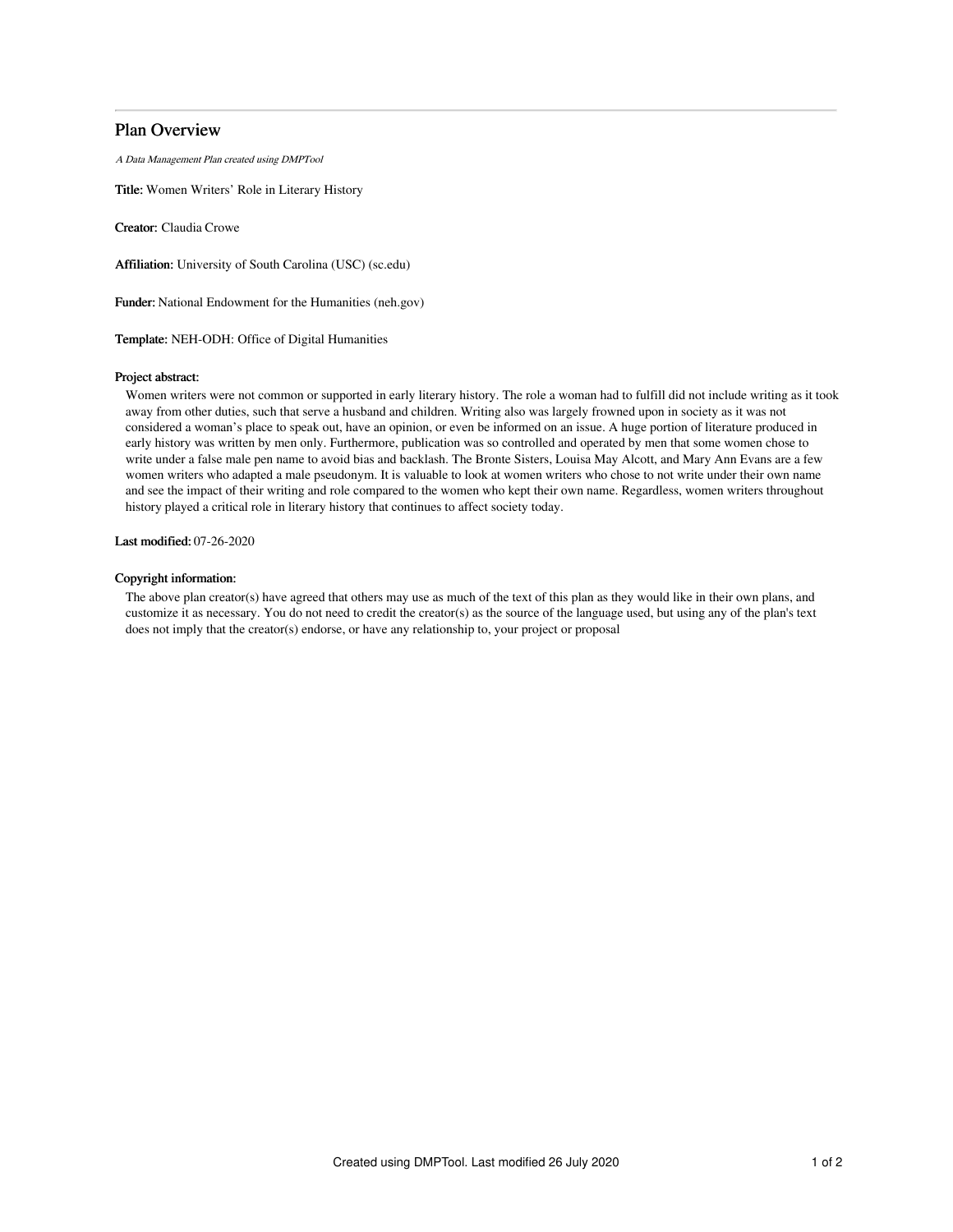# Plan Overview

A Data Management Plan created using DMPTool

Title: Women Writers' Role in Literary History

Creator: Claudia Crowe

Affiliation: University of South Carolina (USC) (sc.edu)

Funder: National Endowment for the Humanities (neh.gov)

Template: NEH-ODH: Office of Digital Humanities

### Project abstract:

Women writers were not common or supported in early literary history. The role a woman had to fulfill did not include writing as it took away from other duties, such that serve a husband and children. Writing also was largely frowned upon in society as it was not considered a woman's place to speak out, have an opinion, or even be informed on an issue. A huge portion of literature produced in early history was written by men only. Furthermore, publication was so controlled and operated by men that some women chose to write under a false male pen name to avoid bias and backlash. The Bronte Sisters, Louisa May Alcott, and Mary Ann Evans are a few women writers who adapted a male pseudonym. It is valuable to look at women writers who chose to not write under their own name and see the impact of their writing and role compared to the women who kept their own name. Regardless, women writers throughout history played a critical role in literary history that continues to affect society today.

Last modified: 07-26-2020

# Copyright information:

The above plan creator(s) have agreed that others may use as much of the text of this plan as they would like in their own plans, and customize it as necessary. You do not need to credit the creator(s) as the source of the language used, but using any of the plan's text does not imply that the creator(s) endorse, or have any relationship to, your project or proposal